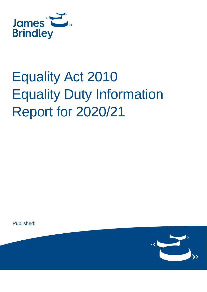

# Equality Act 2010 Equality Duty Information Report for 2020/21

Published:

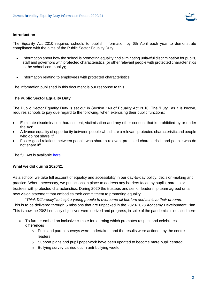

### **Introduction**

The Equality Act 2010 requires schools to publish information by 6th April each year to demonstrate compliance with the aims of the Public Sector Equality Duty:

- Information about how the school is promoting equality and eliminating unlawful discrimination for pupils, staff and governors with protected characteristics (or other relevant people with protected characteristics in the school community);
- Information relating to employees with protected characteristics.

The information published in this document is our response to this.

# **The Public Sector Equality Duty**

The Public Sector Equality Duty is set out in Section 149 of Equality Act 2010. The 'Duty', as it is known, requires schools to pay due regard to the following, when exercising their public functions:

- Eliminate discrimination, harassment, victimisation and any other conduct that is prohibited by or under the Act<sup>i</sup>
- Advance equality of opportunity between people who share a relevant protected characteristic and people who do not share itii
- Foster good relations between people who share a relevant protected characteristic and people who do not share it<sup>iii</sup>.

The full Act is available [here.](http://www.legislation.gov.uk/ukpga/2010/15/contents)

# **What we did during 2020/21**

As a school, we take full account of equality and accessibility in our day-to-day policy, decision-making and practice. Where necessary, we put actions in place to address any barriers faced by pupils, parents or trustees with protected characteristics. During 2020 the trustees and senior leadership team agreed on a new vision statement that embodies their commitment to promoting equality

*"Think Differently" to inspire young people to overcome all barriers and achieve their dreams.* This is to be delivered through 5 missions that are unpacked in the 2020-2023 Academy Development Plan. This is how the 20/21 equality objectives were derived and progress, in spite of the pandemic, is detailed here:

- To further embed an inclusive climate for learning which promotes respect and celebrates differences
	- $\circ$  Pupil and parent surveys were undertaken, and the results were actioned by the centre leaders.
	- $\circ$  Support plans and pupil paperwork have been updated to become more pupil centred.
	- o Bullying survey carried out in anti-bullying week.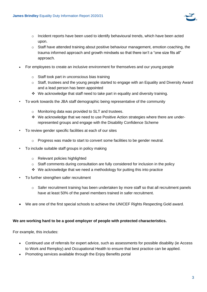

- $\circ$  Incident reports have been used to identify behavioural trends, which have been acted upon.
- $\circ$  Staff have attended training about positive behaviour management, emotion coaching, the trauma informed approach and growth mindsets so that there isn't a "one size fits all" approach.
- For employees to create an inclusive environment for themselves and our young people
	- o Staff took part in unconscious bias training
	- $\circ$  Staff, trustees and the young people started to engage with an Equality and Diversity Award and a lead person has been appointed
	- ❖ We acknowledge that staff need to take part in equality and diversity training.
- To work towards the JBA staff demographic being representative of the community
	- o Monitoring data was provided to SLT and trustees.
	- ❖ We acknowledge that we need to use Positive Action strategies where there are underrepresented groups and engage with the Disability Confidence Scheme
- To review gender specific facilities at each of our sites
	- $\circ$  Progress was made to start to convert some facilities to be gender neutral.
- To include suitable staff groups in policy making
	- o Relevant policies highlighted
	- $\circ$  Staff comments during consultation are fully considered for inclusion in the policy
	- ❖ We acknowledge that we need a methodology for putting this into practice
- To further strengthen safer recruitment
	- $\circ$  Safer recruitment training has been undertaken by more staff so that all recruitment panels have at least 50% of the panel members trained in safer recruitment.
- We are one of the first special schools to achieve the UNICEF Rights Respecting Gold award.

#### **We are working hard to be a good employer of people with protected characteristics.**

For example, this includes:

- Continued use of referrals for expert advice, such as assessments for possible disability (ie Access to Work and Remploy) and Occupational Health to ensure that best practice can be applied.
- Promoting services available through the Enjoy Benefits portal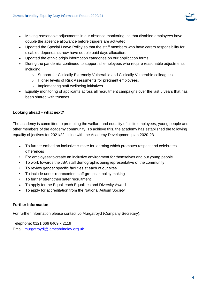

- Making reasonable adjustments in our absence monitoring, so that disabled employees have double the absence allowance before triggers are activated.
- Updated the Special Leave Policy so that the staff members who have carers responsibility for disabled dependants now have double paid days allocation.
- Updated the ethnic origin information categories on our application forms.
- During the pandemic, continued to support all employees who require reasonable adjustments including:
	- o Support for Clinically Extremely Vulnerable and Clinically Vulnerable colleagues.
	- o Higher levels of Risk Assessments for pregnant employees.
	- o Implementing staff wellbeing initiatives.
- Equality monitoring of applicants across all recruitment campaigns over the last 5 years that has been shared with trustees.

## **Looking ahead – what next?**

The academy is committed to promoting the welfare and equality of all its employees, young people and other members of the academy community. To achieve this, the academy has established the following equality objectives for 2021/22 in line with the Academy Development plan 2020-23

- To further embed an inclusive climate for learning which promotes respect and celebrates differences
- •  For employees to create an inclusive environment for themselves and our young people
- •  To work towards the JBA staff demographic being representative of the community
- •  To review gender specific facilities at each of our sites
- •  To include under-represented staff groups in policy making
- To further strengthen safer recruitment
- To apply for the Equaliteach Equalities and Diversity Award
- To apply for accreditation from the National Autism Society

#### **Further Information**

For further information please contact Jo Murgatroyd (Company Secretary).

Telephone: 0121 666 6409 x 2119 Email: [murgatroydj@jamesbrindley.org.uk](mailto:murgatroydj@jamesbrindley.org.uk)